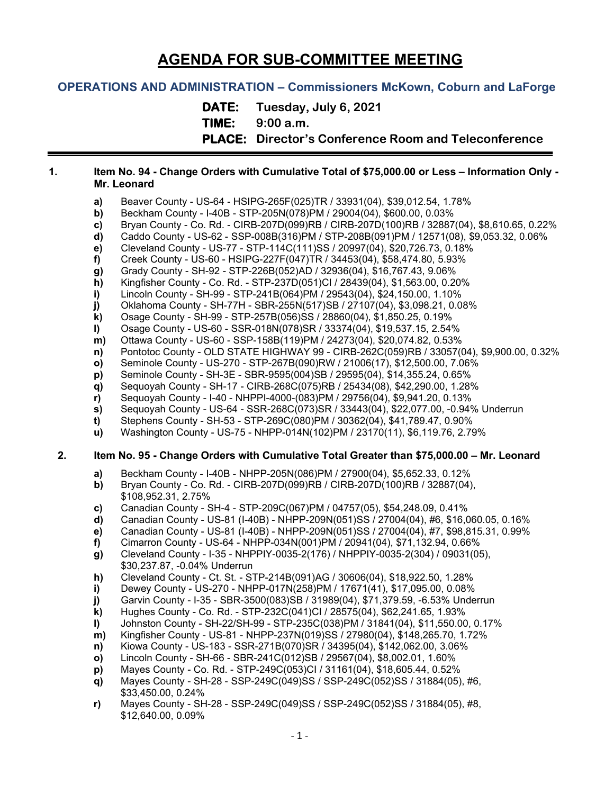# **AGENDA FOR SUB-COMMITTEE MEETING**

# **OPERATIONS AND ADMINISTRATION – Commissioners McKown, Coburn and LaForge**

**DATE: Tuesday, July 6, 2021**

**TIME: 9:00 a.m.**

**PLACE: Director's Conference Room and Teleconference**

#### **1. Item No. 94 - Change Orders with Cumulative Total of \$75,000.00 or Less – Information Only - Mr. Leonard**

- **a)** Beaver County US-64 HSIPG-265F(025)TR / 33931(04), \$39,012.54, 1.78%
- **b)** Beckham County I-40B STP-205N(078)PM / 29004(04), \$600.00, 0.03%
- **c)** Bryan County Co. Rd. CIRB-207D(099)RB / CIRB-207D(100)RB / 32887(04), \$8,610.65, 0.22%
- **d)** Caddo County US-62 SSP-008B(316)PM / STP-208B(091)PM / 12571(08), \$9,053.32, 0.06%
- **e)** Cleveland County US-77 STP-114C(111)SS / 20997(04), \$20,726.73, 0.18%
- **f)** Creek County US-60 HSIPG-227F(047)TR / 34453(04), \$58,474.80, 5.93%
- **g)** Grady County SH-92 STP-226B(052)AD / 32936(04), \$16,767.43, 9.06%
- **h)** Kingfisher County Co. Rd. STP-237D(051)CI / 28439(04), \$1,563.00, 0.20%
- **i)** Lincoln County SH-99 STP-241B(064)PM / 29543(04), \$24,150.00, 1.10%
- **j)** Oklahoma County SH-77H SBR-255N(517)SB / 27107(04), \$3,098.21, 0.08%
- **k)** Osage County SH-99 STP-257B(056)SS / 28860(04), \$1,850.25, 0.19%
- **l)** Osage County US-60 SSR-018N(078)SR / 33374(04), \$19,537.15, 2.54%
- **m)** Ottawa County US-60 SSP-158B(119)PM / 24273(04), \$20,074.82, 0.53%
- **n)** Pontotoc County OLD STATE HIGHWAY 99 CIRB-262C(059)RB / 33057(04), \$9,900.00, 0.32%
- **o)** Seminole County US-270 STP-267B(090)RW / 21006(17), \$12,500.00, 7.06%
- **p)** Seminole County SH-3E SBR-9595(004)SB / 29595(04), \$14,355.24, 0.65%
- **q)** Sequoyah County SH-17 CIRB-268C(075)RB / 25434(08), \$42,290.00, 1.28%
- **r)** Sequoyah County I-40 NHPPI-4000-(083)PM / 29756(04), \$9,941.20, 0.13%
- **s)** Sequoyah County US-64 SSR-268C(073)SR / 33443(04), \$22,077.00, -0.94% Underrun
- **t)** Stephens County SH-53 STP-269C(080)PM / 30362(04), \$41,789.47, 0.90%
- **u)** Washington County US-75 NHPP-014N(102)PM / 23170(11), \$6,119.76, 2.79%

### **2. Item No. 95 - Change Orders with Cumulative Total Greater than \$75,000.00 – Mr. Leonard**

- **a)** Beckham County I-40B NHPP-205N(086)PM / 27900(04), \$5,652.33, 0.12%
- **b)** Bryan County Co. Rd. CIRB-207D(099)RB / CIRB-207D(100)RB / 32887(04), \$108,952.31, 2.75%
- **c)** Canadian County SH-4 STP-209C(067)PM / 04757(05), \$54,248.09, 0.41%
- **d)** Canadian County US-81 (I-40B) NHPP-209N(051)SS / 27004(04), #6, \$16,060.05, 0.16%
- **e)** Canadian County US-81 (I-40B) NHPP-209N(051)SS / 27004(04), #7, \$98,815.31, 0.99%
- **f)** Cimarron County US-64 NHPP-034N(001)PM / 20941(04), \$71,132.94, 0.66%
- **g)** Cleveland County I-35 NHPPIY-0035-2(176) / NHPPIY-0035-2(304) / 09031(05), \$30,237.87, -0.04% Underrun
- **h)** Cleveland County Ct. St. STP-214B(091)AG / 30606(04), \$18,922.50, 1.28%
- **i)** Dewey County US-270 NHPP-017N(258)PM / 17671(41), \$17,095.00, 0.08%
- **j)** Garvin County I-35 SBR-3500(083)SB / 31989(04), \$71,379.59, -6.53% Underrun
- **k)** Hughes County Co. Rd. STP-232C(041)CI / 28575(04), \$62,241.65, 1.93%
- **l)** Johnston County SH-22/SH-99 STP-235C(038)PM / 31841(04), \$11,550.00, 0.17%
- **m)** Kingfisher County US-81 NHPP-237N(019)SS / 27980(04), \$148,265.70, 1.72%
- **n)** Kiowa County US-183 SSR-271B(070)SR / 34395(04), \$142,062.00, 3.06%
- **o)** Lincoln County SH-66 SBR-241C(012)SB / 29567(04), \$8,002.01, 1.60%
- **p)** Mayes County Co. Rd. STP-249C(053)CI / 31161(04), \$18,605.44, 0.52%
- **q)** Mayes County SH-28 SSP-249C(049)SS / SSP-249C(052)SS / 31884(05), #6, \$33,450.00, 0.24%
- **r)** Mayes County SH-28 SSP-249C(049)SS / SSP-249C(052)SS / 31884(05), #8, \$12,640.00, 0.09%